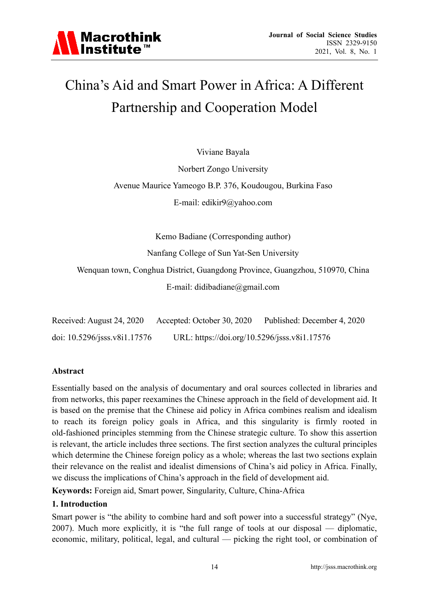

### China's Aid and Smart Power in Africa: A Different Partnership and Cooperation Model

Viviane Bayala

Norbert Zongo University Avenue Maurice Yameogo B.P. 376, Koudougou, Burkina Faso E-mail: edikir9@yahoo.com

Kemo Badiane (Corresponding author)

Nanfang College of Sun Yat-Sen University

Wenquan town, Conghua District, Guangdong Province, Guangzhou, 510970, China E-mail: didibadiane@gmail.com

| Received: August 24, 2020    | Accepted: October 30, 2020                   | Published: December 4, 2020 |
|------------------------------|----------------------------------------------|-----------------------------|
| doi: 10.5296/jsss.v8i1.17576 | URL: https://doi.org/10.5296/jsss.v8i1.17576 |                             |

#### **Abstract**

Essentially based on the analysis of documentary and oral sources collected in libraries and from networks, this paper reexamines the Chinese approach in the field of development aid. It is based on the premise that the Chinese aid policy in Africa combines realism and idealism to reach its foreign policy goals in Africa, and this singularity is firmly rooted in old-fashioned principles stemming from the Chinese strategic culture. To show this assertion is relevant, the article includes three sections. The first section analyzes the cultural principles which determine the Chinese foreign policy as a whole; whereas the last two sections explain their relevance on the realist and idealist dimensions of China's aid policy in Africa. Finally, we discuss the implications of China's approach in the field of development aid.

**Keywords:** Foreign aid, Smart power, Singularity, Culture, China-Africa

#### **1. Introduction**

Smart power is "the ability to combine hard and soft power into a successful strategy" (Nye, 2007). Much more explicitly, it is "the full range of tools at our disposal — diplomatic, economic, military, political, legal, and cultural — picking the right tool, or combination of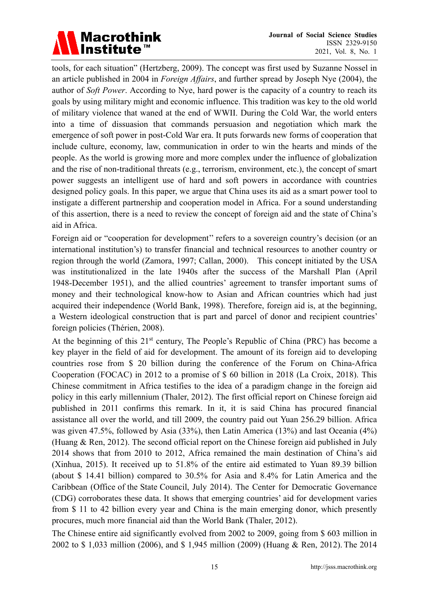tools, for each situation" (Hertzberg, 2009). The concept was first used by Suzanne Nossel in an article published in 2004 in *Foreign Affairs*, and further spread by Joseph Nye (2004), the author of *Soft Power*. According to Nye, hard power is the capacity of a country to reach its goals by using military might and economic influence. This tradition was key to the old world of military violence that waned at the end of WWII. During the Cold War, the world enters into a time of dissuasion that commands persuasion and negotiation which mark the emergence of soft power in post-Cold War era. It puts forwards new forms of cooperation that include culture, economy, law, communication in order to win the hearts and minds of the people. As the world is growing more and more complex under the influence of globalization and the rise of non-traditional threats (e.g., terrorism, environment, etc.), the concept of smart power suggests an intelligent use of hard and soft powers in accordance with countries designed policy goals. In this paper, we argue that China uses its aid as a smart power tool to instigate a different partnership and cooperation model in Africa. For a sound understanding of this assertion, there is a need to review the concept of foreign aid and the state of China's aid in Africa.

Foreign aid or "cooperation for development" refers to a sovereign country's decision (or an international institution's) to transfer financial and technical resources to another country or region through the world (Zamora, 1997; Callan, 2000). This concept initiated by the USA was institutionalized in the late 1940s after the success of the Marshall Plan (April 1948-December 1951), and the allied countries' agreement to transfer important sums of money and their technological know-how to Asian and African countries which had just acquired their independence (World Bank, 1998). Therefore, foreign aid is, at the beginning, a Western ideological construction that is part and parcel of donor and recipient countries' foreign policies (Thérien, 2008).

At the beginning of this  $21<sup>st</sup>$  century, The People's Republic of China (PRC) has become a key player in the field of aid for development. The amount of its foreign aid to developing countries rose from \$ 20 billion during the conference of the Forum on China-Africa Cooperation (FOCAC) in 2012 to a promise of \$ 60 billion in 2018 (La Croix, 2018). This Chinese commitment in Africa testifies to the idea of a paradigm change in the foreign aid policy in this early millennium (Thaler, 2012). The first official report on Chinese foreign aid published in 2011 confirms this remark. In it, it is said China has procured financial assistance all over the world, and till 2009, the country paid out Yuan 256.29 billion. Africa was given 47.5%, followed by Asia (33%), then Latin America (13%) and last Oceania (4%) (Huang & Ren, 2012). The second official report on the Chinese foreign aid published in July 2014 shows that from 2010 to 2012, Africa remained the main destination of China's aid (Xinhua, 2015). It received up to 51.8% of the entire aid estimated to Yuan 89.39 billion (about \$ 14.41 billion) compared to 30.5% for Asia and 8.4% for Latin America and the Caribbean (Office of the State Council, July 2014). The Center for Democratic Governance (CDG) corroborates these data. It shows that emerging countries' aid for development varies from \$ 11 to 42 billion every year and China is the main emerging donor, which presently procures, much more financial aid than the World Bank (Thaler, 2012).

The Chinese entire aid significantly evolved from 2002 to 2009, going from \$ 603 million in 2002 to \$ 1,033 million (2006), and \$ 1,945 million (2009) (Huang & Ren, 2012). The 2014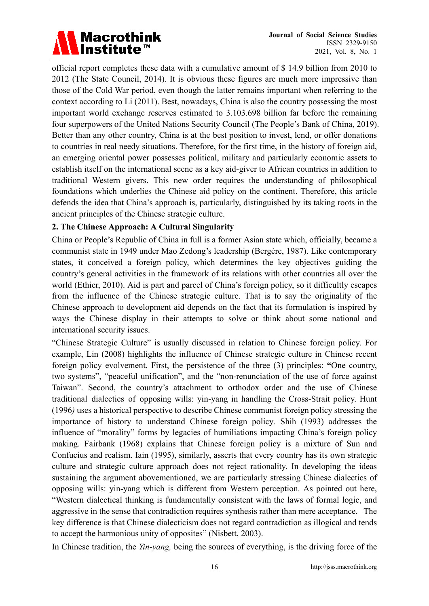official report completes these data with a cumulative amount of \$ 14.9 billion from 2010 to 2012 (The State Council, 2014). It is obvious these figures are much more impressive than those of the Cold War period, even though the latter remains important when referring to the context according to Li (2011). Best, nowadays, China is also the country possessing the most important world exchange reserves estimated to 3.103.698 billion far before the remaining four superpowers of the United Nations Security Council (The People's Bank of China, 2019). Better than any other country, China is at the best position to invest, lend, or offer donations to countries in real needy situations. Therefore, for the first time, in the history of foreign aid, an emerging oriental power possesses political, military and particularly economic assets to establish itself on the international scene as a key aid-giver to African countries in addition to traditional Western givers. This new order requires the understanding of philosophical foundations which underlies the Chinese aid policy on the continent. Therefore, this article defends the idea that China's approach is, particularly, distinguished by its taking roots in the ancient principles of the Chinese strategic culture.

#### **2. The Chinese Approach: A Cultural Singularity**

China or People's Republic of China in full is a former Asian state which, officially, became a communist state in 1949 under Mao Zedong's leadership (Bergère, 1987). Like contemporary states, it conceived a foreign policy, which determines the key objectives guiding the country's general activities in the framework of its relations with other countries all over the world (Ethier, 2010). Aid is part and parcel of China's foreign policy, so it difficultly escapes from the influence of the Chinese strategic culture. That is to say the originality of the Chinese approach to development aid depends on the fact that its formulation is inspired by ways the Chinese display in their attempts to solve or think about some national and international security issues.

"Chinese Strategic Culture" is usually discussed in relation to Chinese foreign policy. For example, Lin (2008) highlights the influence of Chinese strategic culture in Chinese recent foreign policy evolvement. First, the persistence of the three (3) principles: **"**One country, two systems", "peaceful unification", and the "non-renunciation of the use of force against Taiwan". Second, the country's attachment to orthodox order and the use of Chinese traditional dialectics of opposing wills: yin-yang in handling the Cross-Strait policy. Hunt (1996*)* uses a historical perspective to describe Chinese communist foreign policy stressing the importance of history to understand Chinese foreign policy*.* Shih (1993) addresses the influence of "morality" forms by legacies of humiliations impacting China's foreign policy making. Fairbank (1968) explains that Chinese foreign policy is a mixture of Sun and Confucius and realism. Iain (1995), similarly, asserts that every country has its own strategic culture and strategic culture approach does not reject rationality. In developing the ideas sustaining the argument abovementioned, we are particularly stressing Chinese dialectics of opposing wills: yin-yang which is different from Western perception. As pointed out here, "Western dialectical thinking is fundamentally consistent with the laws of formal logic, and aggressive in the sense that contradiction requires synthesis rather than mere acceptance. The key difference is that Chinese dialecticism does not regard contradiction as illogical and tends to accept the harmonious unity of opposites" (Nisbett, 2003).

In Chinese tradition, the *Yin-yang,* being the sources of everything, is the driving force of the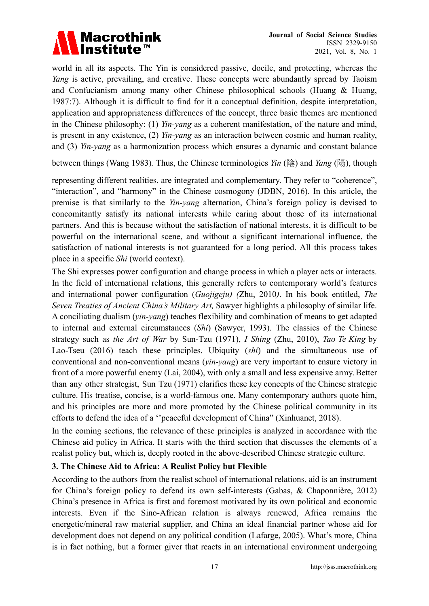world in all its aspects. The Yin is considered passive, docile, and protecting, whereas the *Yang* is active, prevailing, and creative. These concepts were abundantly spread by Taoism and Confucianism among many other Chinese philosophical schools (Huang & Huang, 1987:7). Although it is difficult to find for it a conceptual definition, despite interpretation, application and appropriateness differences of the concept, three basic themes are mentioned in the Chinese philosophy: (1) *Yin-yang* as a coherent manifestation, of the nature and mind, is present in any existence, (2) *Yin-yang* as an interaction between cosmic and human reality, and (3) *Yin-yang* as a harmonization process which ensures a dynamic and constant balance

between things (Wang 1983)*.* Thus, the Chinese terminologies *Yin* (陰) and *Yang* (陽), though

representing different realities, are integrated and complementary. They refer to "coherence", "interaction", and "harmony" in the Chinese cosmogony (JDBN, 2016). In this article, the premise is that similarly to the *Yin-yang* alternation, China's foreign policy is devised to concomitantly satisfy its national interests while caring about those of its international partners. And this is because without the satisfaction of national interests, it is difficult to be powerful on the international scene, and without a significant international influence, the satisfaction of national interests is not guaranteed for a long period. All this process takes place in a specific *Shi* (world context).

The Shi expresses power configuration and change process in which a player acts or interacts. In the field of international relations, this generally refers to contemporary world's features and international power configuration (*Guojigeju) (*Zhu, 2010*)*. In his book entitled, *The Seven Treaties of Ancient China's Military Art,* Sawyer highlights a philosophy of similar life. A conciliating dualism (*yin-yang*) teaches flexibility and combination of means to get adapted to internal and external circumstances (*Shi*) (Sawyer, 1993). The classics of the Chinese strategy such as *the Art of War* by Sun-Tzu (1971), *I Shing* (Zhu, 2010), *Tao Te King* by Lao-Tseu (2016) teach these principles. Ubiquity (*shi*) and the simultaneous use of conventional and non-conventional means (*yin-yang*) are very important to ensure victory in front of a more powerful enemy (Lai, 2004), with only a small and less expensive army. Better than any other strategist, Sun Tzu (1971) clarifies these key concepts of the Chinese strategic culture. His treatise, concise, is a world-famous one. Many contemporary authors quote him, and his principles are more and more promoted by the Chinese political community in its efforts to defend the idea of a ''peaceful development of China" (Xinhuanet, 2018).

In the coming sections, the relevance of these principles is analyzed in accordance with the Chinese aid policy in Africa. It starts with the third section that discusses the elements of a realist policy but, which is, deeply rooted in the above-described Chinese strategic culture.

#### **3. The Chinese Aid to Africa: A Realist Policy but Flexible**

According to the authors from the realist school of international relations, aid is an instrument for China's foreign policy to defend its own self-interests (Gabas, & Chaponnière, 2012) China's presence in Africa is first and foremost motivated by its own political and economic interests. Even if the Sino-African relation is always renewed, Africa remains the energetic/mineral raw material supplier, and China an ideal financial partner whose aid for development does not depend on any political condition (Lafarge, 2005). What's more, China is in fact nothing, but a former giver that reacts in an international environment undergoing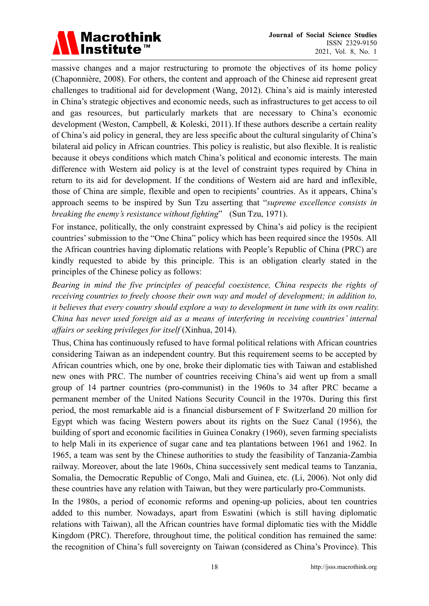

massive changes and a major restructuring to promote the objectives of its home policy (Chaponnière, 2008). For others, the content and approach of the Chinese aid represent great challenges to traditional aid for development (Wang, 2012). China's aid is mainly interested in China's strategic objectives and economic needs, such as infrastructures to get access to oil and gas resources, but particularly markets that are necessary to China's economic development (Weston, Campbell, & Koleski, 2011). If these authors describe a certain reality of China's aid policy in general, they are less specific about the cultural singularity of China's bilateral aid policy in African countries. This policy is realistic, but also flexible. It is realistic because it obeys conditions which match China's political and economic interests. The main difference with Western aid policy is at the level of constraint types required by China in return to its aid for development. If the conditions of Western aid are hard and inflexible, those of China are simple, flexible and open to recipients' countries. As it appears, China's approach seems to be inspired by Sun Tzu asserting that "*supreme excellence consists in breaking the enemy's resistance without fighting*" (Sun Tzu, 1971).

For instance, politically, the only constraint expressed by China's aid policy is the recipient countries' submission to the "One China" policy which has been required since the 1950s. All the African countries having diplomatic relations with People's Republic of China (PRC) are kindly requested to abide by this principle. This is an obligation clearly stated in the principles of the Chinese policy as follows:

*Bearing in mind the five principles of peaceful coexistence, China respects the rights of receiving countries to freely choose their own way and model of development; in addition to, it believes that every country should explore a way to development in tune with its own reality. China has never used foreign aid as a means of interfering in receiving countries' internal affairs or seeking privileges for itself* (Xinhua, 2014).

Thus, China has continuously refused to have formal political relations with African countries considering Taiwan as an independent country. But this requirement seems to be accepted by African countries which, one by one, broke their diplomatic ties with Taiwan and established new ones with PRC. The number of countries receiving China's aid went up from a small group of 14 partner countries (pro-communist) in the 1960s to 34 after PRC became a permanent member of the United Nations Security Council in the 1970s. During this first period, the most remarkable aid is a financial disbursement of F Switzerland 20 million for Egypt which was facing Western powers about its rights on the Suez Canal (1956), the building of sport and economic facilities in Guinea Conakry (1960), seven farming specialists to help Mali in its experience of sugar cane and tea plantations between 1961 and 1962. In 1965, a team was sent by the Chinese authorities to study the feasibility of Tanzania-Zambia railway. Moreover, about the late 1960s, China successively sent medical teams to Tanzania, Somalia, the Democratic Republic of Congo, Mali and Guinea, etc. (Li, 2006). Not only did these countries have any relation with Taiwan, but they were particularly pro-Communists.

In the 1980s, a period of economic reforms and opening-up policies, about ten countries added to this number. Nowadays, apart from Eswatini (which is still having diplomatic relations with Taiwan), all the African countries have formal diplomatic ties with the Middle Kingdom (PRC). Therefore, throughout time, the political condition has remained the same: the recognition of China's full sovereignty on Taiwan (considered as China's Province). This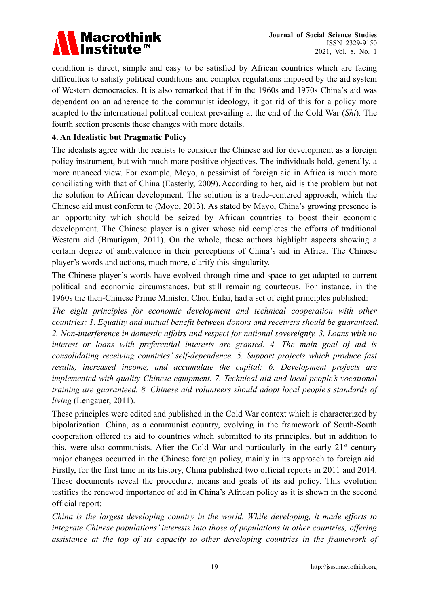

condition is direct, simple and easy to be satisfied by African countries which are facing difficulties to satisfy political conditions and complex regulations imposed by the aid system of Western democracies. It is also remarked that if in the 1960s and 1970s China's aid was dependent on an adherence to the communist ideology**,** it got rid of this for a policy more adapted to the international political context prevailing at the end of the Cold War (*Shi*). The fourth section presents these changes with more details.

#### **4. An Idealistic but Pragmatic Policy**

The idealists agree with the realists to consider the Chinese aid for development as a foreign policy instrument, but with much more positive objectives. The individuals hold, generally, a more nuanced view. For example, Moyo, a pessimist of foreign aid in Africa is much more conciliating with that of China (Easterly, 2009). According to her, aid is the problem but not the solution to African development. The solution is a trade-centered approach, which the Chinese aid must conform to (Moyo, 2013). As stated by Mayo, China's growing presence is an opportunity which should be seized by African countries to boost their economic development. The Chinese player is a giver whose aid completes the efforts of traditional Western aid (Brautigam, 2011). On the whole, these authors highlight aspects showing a certain degree of ambivalence in their perceptions of China's aid in Africa. The Chinese player's words and actions, much more, clarify this singularity.

The Chinese player's words have evolved through time and space to get adapted to current political and economic circumstances, but still remaining courteous. For instance, in the 1960s the then-Chinese Prime Minister, Chou Enlai, had a set of eight principles published:

*The eight principles for economic development and technical cooperation with other countries: 1. Equality and mutual benefit between donors and receivers should be guaranteed. 2. Non-interference in domestic affairs and respect for national sovereignty. 3. Loans with no interest or loans with preferential interests are granted. 4. The main goal of aid is consolidating receiving countries' self-dependence. 5. Support projects which produce fast results, increased income, and accumulate the capital; 6. Development projects are implemented with quality Chinese equipment. 7. Technical aid and local people's vocational training are guaranteed. 8. Chinese aid volunteers should adopt local people's standards of living* (Lengauer, 2011).

These principles were edited and published in the Cold War context which is characterized by bipolarization. China, as a communist country, evolving in the framework of South-South cooperation offered its aid to countries which submitted to its principles, but in addition to this, were also communists. After the Cold War and particularly in the early  $21<sup>st</sup>$  century major changes occurred in the Chinese foreign policy, mainly in its approach to foreign aid. Firstly, for the first time in its history, China published two official reports in 2011 and 2014. These documents reveal the procedure, means and goals of its aid policy. This evolution testifies the renewed importance of aid in China's African policy as it is shown in the second official report:

*China is the largest developing country in the world. While developing, it made efforts to integrate Chinese populations' interests into those of populations in other countries, offering assistance at the top of its capacity to other developing countries in the framework of*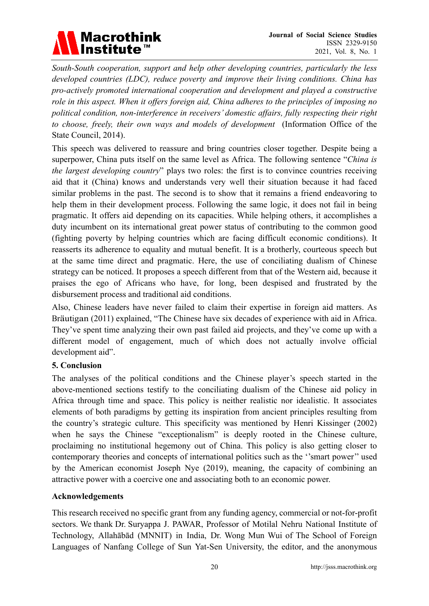*South-South cooperation, support and help other developing countries, particularly the less developed countries (LDC), reduce poverty and improve their living conditions. China has pro-actively promoted international cooperation and development and played a constructive role in this aspect. When it offers foreign aid, China adheres to the principles of imposing no political condition, non-interference in receivers' domestic affairs, fully respecting their right to choose, freely, their own ways and models of development* (Information Office of the State Council, 2014).

This speech was delivered to reassure and bring countries closer together. Despite being a superpower, China puts itself on the same level as Africa. The following sentence "*China is the largest developing country*" plays two roles: the first is to convince countries receiving aid that it (China) knows and understands very well their situation because it had faced similar problems in the past. The second is to show that it remains a friend endeavoring to help them in their development process. Following the same logic, it does not fail in being pragmatic. It offers aid depending on its capacities. While helping others, it accomplishes a duty incumbent on its international great power status of contributing to the common good (fighting poverty by helping countries which are facing difficult economic conditions). It reasserts its adherence to equality and mutual benefit. It is a brotherly, courteous speech but at the same time direct and pragmatic. Here, the use of conciliating dualism of Chinese strategy can be noticed. It proposes a speech different from that of the Western aid, because it praises the ego of Africans who have, for long, been despised and frustrated by the disbursement process and traditional aid conditions.

Also, Chinese leaders have never failed to claim their expertise in foreign aid matters. As Bräutigan (2011) explained, "The Chinese have six decades of experience with aid in Africa. They've spent time analyzing their own past failed aid projects, and they've come up with a different model of engagement, much of which does not actually involve official development aid".

#### **5. Conclusion**

The analyses of the political conditions and the Chinese player's speech started in the above-mentioned sections testify to the conciliating dualism of the Chinese aid policy in Africa through time and space. This policy is neither realistic nor idealistic. It associates elements of both paradigms by getting its inspiration from ancient principles resulting from the country's strategic culture. This specificity was mentioned by Henri Kissinger (2002) when he says the Chinese "exceptionalism" is deeply rooted in the Chinese culture, proclaiming no institutional hegemony out of China. This policy is also getting closer to contemporary theories and concepts of international politics such as the ''smart power'' used by the American economist Joseph Nye (2019), meaning, the capacity of combining an attractive power with a coercive one and associating both to an economic power.

#### **Acknowledgements**

This research received no specific grant from any funding agency, commercial or not-for-profit sectors. We thank Dr. Suryappa J. PAWAR, Professor of Motilal Nehru National Institute of Technology, Allahābād (MNNIT) in India, Dr. Wong Mun Wui of The School of Foreign Languages of Nanfang College of Sun Yat-Sen University, the editor, and the anonymous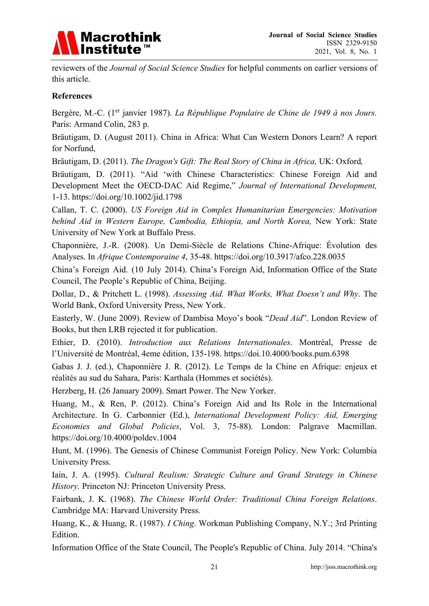

reviewers of the *Journal of Social Science Studies* for helpful comments on earlier versions of this article.

#### **References**

Bergère, M.-C. (1<sup>er</sup> janvier 1987). *La République Populaire de Chine de 1949 à nos Jours.* Paris: Armand Colin, 283 p.

Bräutigam, D. (August 2011). China in Africa: What Can Western Donors Learn? A report for Norfund,

Bräutigam, D. (2011). *The Dragon's Gift: The Real Story of China in Africa*, UK: Oxford,

Bräutigam, D. (2011). "Aid 'with Chinese Characteristics: Chinese Foreign Aid and Development Meet the OECD-DAC Aid Regime," *Journal of International Development,*  1-13. https://doi.org/10.1002/jid.1798

Callan, T. C. (2000). *US Foreign Aid in Complex Humanitarian Emergencies: Motivation behind Aid in Western Europe, Cambodia, Ethiopia, and North Korea,* New York: State University of New York at Buffalo Press.

Chaponnière, J.-R. (2008). Un Demi-Siècle de Relations Chine-Afrique: Évolution des Analyses. In *Afrique Contemporaine 4*, 35-48. https://doi.org/10.3917/afco.228.0035

China's Foreign Aid. (10 July 2014). China's Foreign Aid, Information Office of the State Council, The People's Republic of China, Beijing.

Dollar, D., & Pritchett L. (1998). *Assessing Aid. What Works, What Doesn't and Why*. The World Bank, Oxford University Press, New York.

Easterly, W. (June 2009). Review of Dambisa Moyo's book "*Dead Aid*". London Review of Books, but then LRB rejected it for publication.

Ethier, D. (2010). *Introduction aux Relations Internationales*. Montréal, Presse de l'Université de Montréal, 4eme édition, 135-198. https://doi.10.4000/books.pum.6398

Gabas J. J. (ed.), Chaponnière J. R. (2012). Le Temps de la Chine en Afrique: enjeux et réalités au sud du Sahara, Paris: Karthala (Hommes et sociétés).

Herzberg, H. (26 January 2009). Smart Power. The New Yorker.

Huang, M., & Ren, P. (2012). China's Foreign Aid and Its Role in the International Architecture. In G. Carbonnier (Ed.), *International Development Policy: Aid, Emerging Economies and Global Policies*, Vol. 3, 75-88). London: Palgrave Macmillan. https://doi.org/10.4000/poldev.1004

Hunt, M. (1996). The Genesis of Chinese Communist Foreign Policy. New York: Columbia University Press.

Iain, J. A. (1995). *Cultural Realism: Strategic Culture and Grand Strategy in Chinese History.* Princeton NJ: Princeton University Press.

Fairbank, J. K. (1968). *The Chinese World Order: Traditional China Foreign Relations*. Cambridge MA: Harvard University Press.

Huang, K., & Huang, R. (1987). *I Ching*. Workman Publishing Company, N.Y.; 3rd Printing Edition.

Information Office of the State Council, The People's Republic of China. July 2014. "China's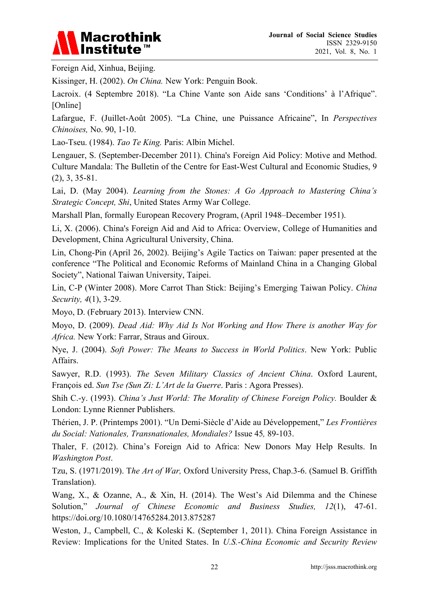Foreign Aid, Xinhua, Beijing.

Kissinger, H. (2002). *On China.* New York: Penguin Book.

Lacroix. (4 Septembre 2018). "La Chine Vante son Aide sans 'Conditions' à l'Afrique". [Online]

Lafargue, F. (Juillet-Août 2005). "La Chine, une Puissance Africaine", In *Perspectives Chinoises,* No. 90, 1-10.

Lao-Tseu. (1984). *Tao Te King.* Paris: Albin Michel.

Lengauer, S. (September-December 2011). China's Foreign Aid Policy: Motive and Method. Culture Mandala: The Bulletin of the Centre for East-West Cultural and Economic Studies, 9 (2), 3, 35-81.

Lai, D. (May 2004). *Learning from the Stones: A Go Approach to Mastering China's Strategic Concept, Shi*, United States Army War College.

Marshall Plan, formally European Recovery Program, (April 1948–December 1951).

Li, X. (2006). China's Foreign Aid and Aid to Africa: Overview, College of Humanities and Development, China Agricultural University, China.

Lin, Chong-Pin (April 26, 2002). Beijing's Agile Tactics on Taiwan: paper presented at the conference "The Political and Economic Reforms of Mainland China in a Changing Global Society", National Taiwan University, Taipei.

Lin, C-P (Winter 2008). More Carrot Than Stick: Beijing's Emerging Taiwan Policy. *China Security, 4*(1), 3-29.

Moyo, D. (February 2013). Interview CNN.

Moyo, D. (2009). *Dead Aid: Why Aid Is Not Working and How There is another Way for Africa.* New York: Farrar, Straus and Giroux.

Nye, J. (2004). *Soft Power: The Means to Success in World Politics*. New York: Public Affairs.

Sawyer, R.D. (1993). *The Seven Military Classics of Ancient China*. Oxford Laurent, François ed. *Sun Tse (Sun Zi: L'Art de la Guerre*. Paris : Agora Presses).

Shih C.-y. (1993). *China's Just World: The Morality of Chinese Foreign Policy.* Boulder & London: Lynne Rienner Publishers.

Thérien, J. P. (Printemps 2001). "Un Demi-Siècle d'Aide au Développement," *Les Frontières du Social: Nationales, Transnationales, Mondiales?* Issue 45*,* 89-103.

Thaler, F. (2012). China's Foreign Aid to Africa: New Donors May Help Results. In *Washington Post*.

Tzu, S. (1971/2019). T*he Art of War,* Oxford University Press, Chap.3-6. (Samuel B. Griffith Translation).

Wang, X., & Ozanne, A., & Xin, H. (2014). The West's Aid Dilemma and the Chinese Solution," *Journal of Chinese Economic and Business Studies, 12*(1), 47-61. https://doi.org/10.1080/14765284.2013.875287

Weston, J., Campbell, C., & Koleski K. (September 1, 2011). China Foreign Assistance in Review: Implications for the United States. In *U.S.-China Economic and Security Review*